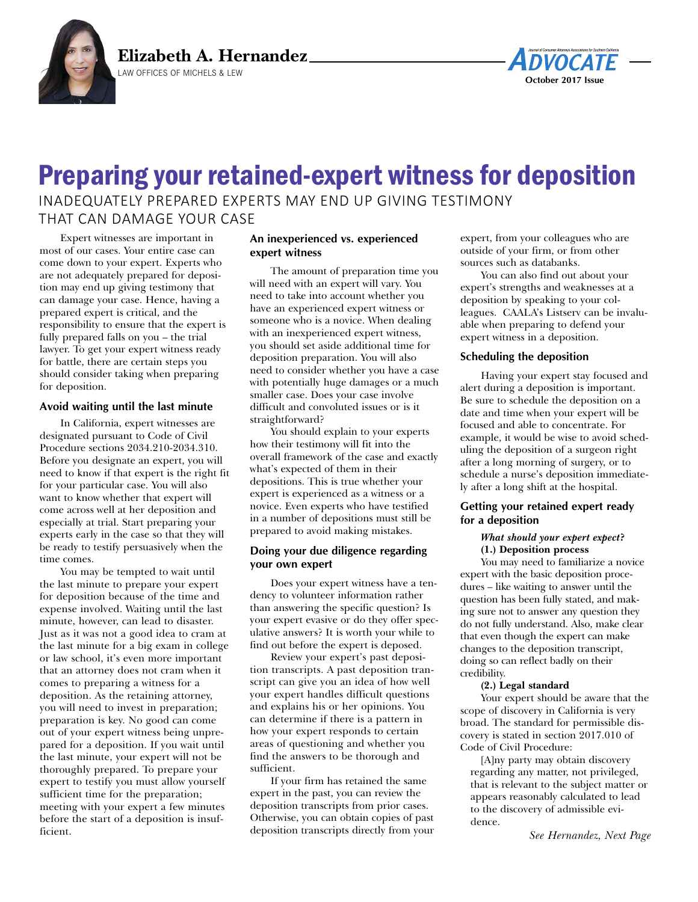



# Preparing your retained-expert witness for deposition

INADEQUATELY PREPARED EXPERTS MAY END UP GIVING TESTIMONY THAT CAN DAMAGE YOUR CASE

Expert witnesses are important in most of our cases. Your entire case can come down to your expert. Experts who are not adequately prepared for deposition may end up giving testimony that can damage your case. Hence, having a prepared expert is critical, and the responsibility to ensure that the expert is fully prepared falls on you – the trial lawyer. To get your expert witness ready for battle, there are certain steps you should consider taking when preparing for deposition.

### **Avoid waiting until the last minute**

In California, expert witnesses are designated pursuant to Code of Civil Procedure sections 2034.210-2034.310. Before you designate an expert, you will need to know if that expert is the right fit for your particular case. You will also want to know whether that expert will come across well at her deposition and especially at trial. Start preparing your experts early in the case so that they will be ready to testify persuasively when the time comes.

You may be tempted to wait until the last minute to prepare your expert for deposition because of the time and expense involved. Waiting until the last minute, however, can lead to disaster. Just as it was not a good idea to cram at the last minute for a big exam in college or law school, it's even more important that an attorney does not cram when it comes to preparing a witness for a deposition. As the retaining attorney, you will need to invest in preparation; preparation is key. No good can come out of your expert witness being unprepared for a deposition. If you wait until the last minute, your expert will not be thoroughly prepared. To prepare your expert to testify you must allow yourself sufficient time for the preparation; meeting with your expert a few minutes before the start of a deposition is insufficient.

# **An inexperienced vs. experienced expert witness**

The amount of preparation time you will need with an expert will vary. You need to take into account whether you have an experienced expert witness or someone who is a novice. When dealing with an inexperienced expert witness, you should set aside additional time for deposition preparation. You will also need to consider whether you have a case with potentially huge damages or a much smaller case. Does your case involve difficult and convoluted issues or is it straightforward?

You should explain to your experts how their testimony will fit into the overall framework of the case and exactly what's expected of them in their depositions. This is true whether your expert is experienced as a witness or a novice. Even experts who have testified in a number of depositions must still be prepared to avoid making mistakes.

# **Doing your due diligence regarding your own expert**

Does your expert witness have a tendency to volunteer information rather than answering the specific question? Is your expert evasive or do they offer speculative answers? It is worth your while to find out before the expert is deposed.

Review your expert's past deposition transcripts. A past deposition transcript can give you an idea of how well your expert handles difficult questions and explains his or her opinions. You can determine if there is a pattern in how your expert responds to certain areas of questioning and whether you find the answers to be thorough and sufficient.

If your firm has retained the same expert in the past, you can review the deposition transcripts from prior cases. Otherwise, you can obtain copies of past deposition transcripts directly from your expert, from your colleagues who are outside of your firm, or from other sources such as databanks.

You can also find out about your expert's strengths and weaknesses at a deposition by speaking to your colleagues. CAALA's Listserv can be invaluable when preparing to defend your expert witness in a deposition.

# **Scheduling the deposition**

Having your expert stay focused and alert during a deposition is important. Be sure to schedule the deposition on a date and time when your expert will be focused and able to concentrate. For example, it would be wise to avoid scheduling the deposition of a surgeon right after a long morning of surgery, or to schedule a nurse's deposition immediately after a long shift at the hospital.

# **Getting your retained expert ready for a deposition**

### *What should your expert expect***? (1.) Deposition process**

You may need to familiarize a novice expert with the basic deposition procedures – like waiting to answer until the question has been fully stated, and making sure not to answer any question they do not fully understand. Also, make clear that even though the expert can make changes to the deposition transcript, doing so can reflect badly on their credibility.

#### **(2.) Legal standard**

Your expert should be aware that the scope of discovery in California is very broad. The standard for permissible discovery is stated in section 2017.010 of Code of Civil Procedure:

[A]ny party may obtain discovery regarding any matter, not privileged, that is relevant to the subject matter or appears reasonably calculated to lead to the discovery of admissible evidence.

*See Hernandez, Next Page*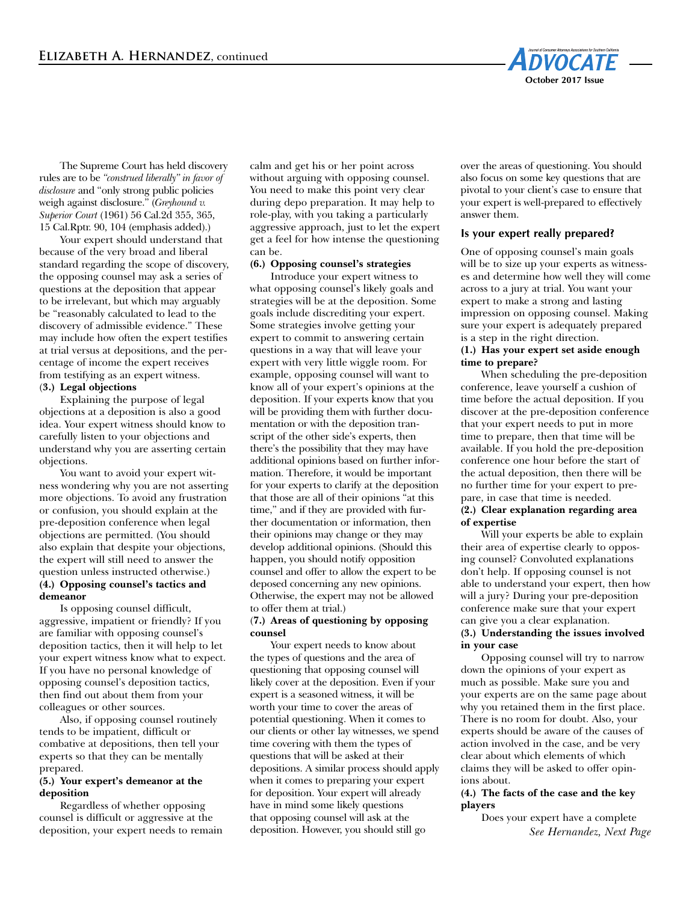

The Supreme Court has held discovery rules are to be *"construed liberally" in favor of disclosure* and "only strong public policies weigh against disclosure." (*Greyhound v. Superior Court* (1961) 56 Cal.2d 355, 365, 15 Cal.Rptr. 90, 104 (emphasis added).)

Your expert should understand that because of the very broad and liberal standard regarding the scope of discovery, the opposing counsel may ask a series of questions at the deposition that appear to be irrelevant, but which may arguably be "reasonably calculated to lead to the discovery of admissible evidence." These may include how often the expert testifies at trial versus at depositions, and the percentage of income the expert receives from testifying as an expert witness. (**3.) Legal objections**

Explaining the purpose of legal objections at a deposition is also a good idea. Your expert witness should know to carefully listen to your objections and understand why you are asserting certain objections.

You want to avoid your expert witness wondering why you are not asserting more objections. To avoid any frustration or confusion, you should explain at the pre-deposition conference when legal objections are permitted. (You should also explain that despite your objections, the expert will still need to answer the question unless instructed otherwise.) **(4.) Opposing counsel's tactics and demeanor**

Is opposing counsel difficult, aggressive, impatient or friendly? If you are familiar with opposing counsel's deposition tactics, then it will help to let your expert witness know what to expect. If you have no personal knowledge of opposing counsel's deposition tactics, then find out about them from your colleagues or other sources.

Also, if opposing counsel routinely tends to be impatient, difficult or combative at depositions, then tell your experts so that they can be mentally prepared.

#### **(5.) Your expert's demeanor at the deposition**

Regardless of whether opposing counsel is difficult or aggressive at the deposition, your expert needs to remain calm and get his or her point across without arguing with opposing counsel. You need to make this point very clear during depo preparation. It may help to role-play, with you taking a particularly aggressive approach, just to let the expert get a feel for how intense the questioning can be.

**(6.) Opposing counsel's strategies**

Introduce your expert witness to what opposing counsel's likely goals and strategies will be at the deposition. Some goals include discrediting your expert. Some strategies involve getting your expert to commit to answering certain questions in a way that will leave your expert with very little wiggle room. For example, opposing counsel will want to know all of your expert's opinions at the deposition. If your experts know that you will be providing them with further documentation or with the deposition transcript of the other side's experts, then there's the possibility that they may have additional opinions based on further information. Therefore, it would be important for your experts to clarify at the deposition that those are all of their opinions "at this time," and if they are provided with further documentation or information, then their opinions may change or they may develop additional opinions. (Should this happen, you should notify opposition counsel and offer to allow the expert to be deposed concerning any new opinions. Otherwise, the expert may not be allowed to offer them at trial.)

### (**7.) Areas of questioning by opposing counsel**

Your expert needs to know about the types of questions and the area of questioning that opposing counsel will likely cover at the deposition. Even if your expert is a seasoned witness, it will be worth your time to cover the areas of potential questioning. When it comes to our clients or other lay witnesses, we spend time covering with them the types of questions that will be asked at their depositions. A similar process should apply when it comes to preparing your expert for deposition. Your expert will already have in mind some likely questions that opposing counsel will ask at the deposition. However, you should still go

over the areas of questioning. You should also focus on some key questions that are pivotal to your client's case to ensure that your expert is well-prepared to effectively answer them.

# **Is your expert really prepared?**

One of opposing counsel's main goals will be to size up your experts as witnesses and determine how well they will come across to a jury at trial. You want your expert to make a strong and lasting impression on opposing counsel. Making sure your expert is adequately prepared is a step in the right direction.

### **(1.) Has your expert set aside enough time to prepare?**

When scheduling the pre-deposition conference, leave yourself a cushion of time before the actual deposition. If you discover at the pre-deposition conference that your expert needs to put in more time to prepare, then that time will be available. If you hold the pre-deposition conference one hour before the start of the actual deposition, then there will be no further time for your expert to prepare, in case that time is needed. **(2.) Clear explanation regarding area**

**of expertise**

Will your experts be able to explain their area of expertise clearly to opposing counsel? Convoluted explanations don't help. If opposing counsel is not able to understand your expert, then how will a jury? During your pre-deposition conference make sure that your expert can give you a clear explanation. **(3.) Understanding the issues involved in your case**

Opposing counsel will try to narrow down the opinions of your expert as much as possible. Make sure you and your experts are on the same page about why you retained them in the first place. There is no room for doubt. Also, your experts should be aware of the causes of action involved in the case, and be very clear about which elements of which claims they will be asked to offer opinions about.

### **(4.) The facts of the case and the key players**

Does your expert have a complete *See Hernandez, Next Page*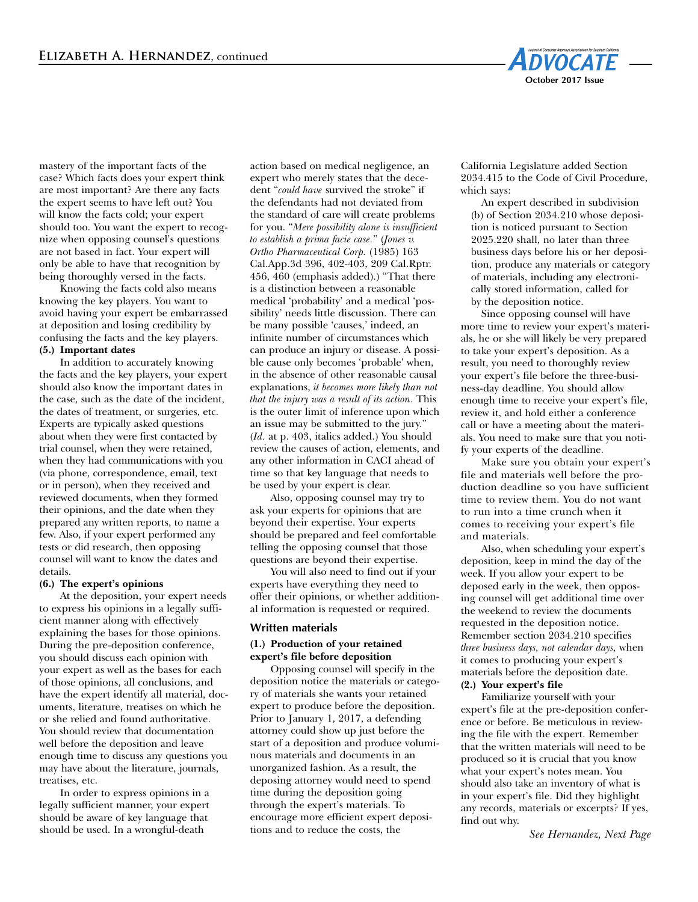

mastery of the important facts of the case? Which facts does your expert think are most important? Are there any facts the expert seems to have left out? You will know the facts cold; your expert should too. You want the expert to recognize when opposing counsel's questions are not based in fact. Your expert will only be able to have that recognition by being thoroughly versed in the facts.

Knowing the facts cold also means knowing the key players. You want to avoid having your expert be embarrassed at deposition and losing credibility by confusing the facts and the key players. **(5.) Important dates**

In addition to accurately knowing the facts and the key players, your expert should also know the important dates in the case, such as the date of the incident, the dates of treatment, or surgeries, etc. Experts are typically asked questions about when they were first contacted by trial counsel, when they were retained, when they had communications with you (via phone, correspondence, email, text or in person), when they received and reviewed documents, when they formed their opinions, and the date when they prepared any written reports, to name a few. Also, if your expert performed any tests or did research, then opposing counsel will want to know the dates and details.

#### **(6.) The expert's opinions**

At the deposition, your expert needs to express his opinions in a legally sufficient manner along with effectively explaining the bases for those opinions. During the pre-deposition conference, you should discuss each opinion with your expert as well as the bases for each of those opinions, all conclusions, and have the expert identify all material, documents, literature, treatises on which he or she relied and found authoritative. You should review that documentation well before the deposition and leave enough time to discuss any questions you may have about the literature, journals, treatises, etc.

In order to express opinions in a legally sufficient manner, your expert should be aware of key language that should be used. In a wrongful-death

action based on medical negligence, an expert who merely states that the decedent "*could have* survived the stroke" if the defendants had not deviated from the standard of care will create problems for you. "*Mere possibility alone is insufficient to establish a prima facie case.*" (*Jones v. Ortho Pharmaceutical Corp.* (1985) 163 Cal.App.3d 396, 402-403, 209 Cal.Rptr. 456, 460 (emphasis added).) "That there is a distinction between a reasonable medical 'probability' and a medical 'possibility' needs little discussion. There can be many possible 'causes,' indeed, an infinite number of circumstances which can produce an injury or disease. A possible cause only becomes 'probable' when, in the absence of other reasonable causal explanations, *it becomes more likely than not that the injury was a result of its action.* This is the outer limit of inference upon which an issue may be submitted to the jury." (*Id.* at p. 403, italics added.) You should review the causes of action, elements, and any other information in CACI ahead of time so that key language that needs to be used by your expert is clear.

Also, opposing counsel may try to ask your experts for opinions that are beyond their expertise. Your experts should be prepared and feel comfortable telling the opposing counsel that those questions are beyond their expertise.

You will also need to find out if your experts have everything they need to offer their opinions, or whether additional information is requested or required.

#### **Written materials**

#### **(1.) Production of your retained expert's file before deposition**

Opposing counsel will specify in the deposition notice the materials or category of materials she wants your retained expert to produce before the deposition. Prior to January 1, 2017, a defending attorney could show up just before the start of a deposition and produce voluminous materials and documents in an unorganized fashion. As a result, the deposing attorney would need to spend time during the deposition going through the expert's materials. To encourage more efficient expert depositions and to reduce the costs, the

California Legislature added Section 2034.415 to the Code of Civil Procedure, which says:

An expert described in subdivision (b) of Section 2034.210 whose deposition is noticed pursuant to Section 2025.220 shall, no later than three business days before his or her deposition, produce any materials or category of materials, including any electronically stored information, called for by the deposition notice.

Since opposing counsel will have more time to review your expert's materials, he or she will likely be very prepared to take your expert's deposition. As a result, you need to thoroughly review your expert's file before the three-business-day deadline. You should allow enough time to receive your expert's file, review it, and hold either a conference call or have a meeting about the materials. You need to make sure that you notify your experts of the deadline.

Make sure you obtain your expert's file and materials well before the production deadline so you have sufficient time to review them. You do not want to run into a time crunch when it comes to receiving your expert's file and materials.

Also, when scheduling your expert's deposition, keep in mind the day of the week. If you allow your expert to be deposed early in the week, then opposing counsel will get additional time over the weekend to review the documents requested in the deposition notice. Remember section 2034.210 specifies *three business days, not calendar days,* when it comes to producing your expert's materials before the deposition date.

#### **(2.) Your expert's file**

Familiarize yourself with your expert's file at the pre-deposition conference or before. Be meticulous in reviewing the file with the expert. Remember that the written materials will need to be produced so it is crucial that you know what your expert's notes mean. You should also take an inventory of what is in your expert's file. Did they highlight any records, materials or excerpts? If yes, find out why.

*See Hernandez, Next Page*